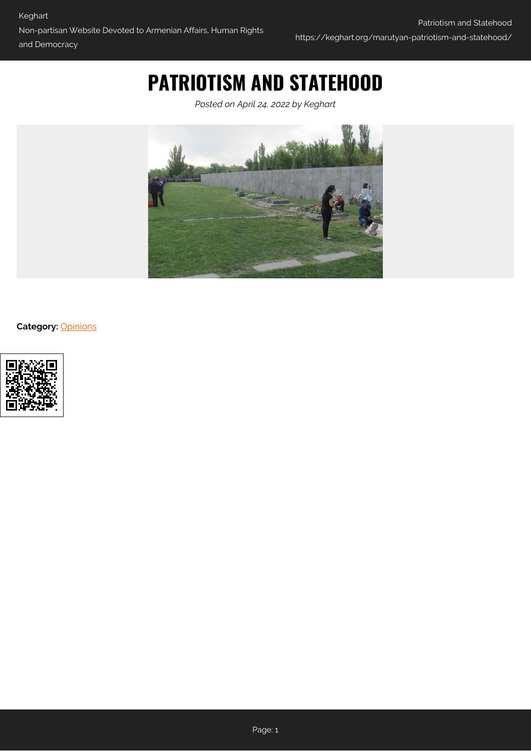# **PATRIOTISM AND STATEHOOD**

*Posted on April 24, 2022 by Keghart*



**Category:** [Opinions](https://keghart.org/category/opinions/)

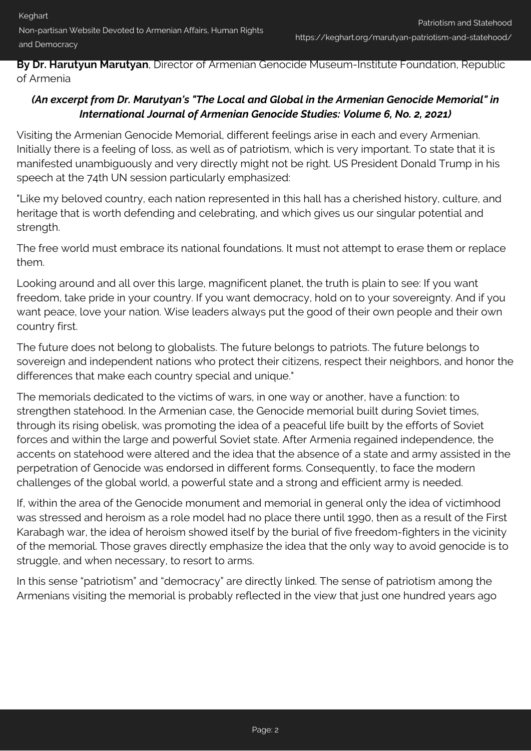**By Dr. Harutyun Marutyan**, Director of Armenian Genocide Museum-Institute Foundation, Republic of Armenia

## *(An excerpt from Dr. Marutyan's "The Local and Global in the Armenian Genocide Memorial" in International Journal of Armenian Genocide Studies: Volume 6, No. 2, 2021)*

Visiting the Armenian Genocide Memorial, different feelings arise in each and every Armenian. Initially there is a feeling of loss, as well as of patriotism, which is very important. To state that it is manifested unambiguously and very directly might not be right. US President Donald Trump in his speech at the 74th UN session particularly emphasized:

"Like my beloved country, each nation represented in this hall has a cherished history, culture, and heritage that is worth defending and celebrating, and which gives us our singular potential and strength.

The free world must embrace its national foundations. It must not attempt to erase them or replace them.

Looking around and all over this large, magnificent planet, the truth is plain to see: If you want freedom, take pride in your country. If you want democracy, hold on to your sovereignty. And if you want peace, love your nation. Wise leaders always put the good of their own people and their own country first.

The future does not belong to globalists. The future belongs to patriots. The future belongs to sovereign and independent nations who protect their citizens, respect their neighbors, and honor the differences that make each country special and unique."

The memorials dedicated to the victims of wars, in one way or another, have a function: to strengthen statehood. In the Armenian case, the Genocide memorial built during Soviet times, through its rising obelisk, was promoting the idea of a peaceful life built by the efforts of Soviet forces and within the large and powerful Soviet state. After Armenia regained independence, the accents on statehood were altered and the idea that the absence of a state and army assisted in the perpetration of Genocide was endorsed in different forms. Consequently, to face the modern challenges of the global world, a powerful state and a strong and efficient army is needed.

If, within the area of the Genocide monument and memorial in general only the idea of victimhood was stressed and heroism as a role model had no place there until 1990, then as a result of the First Karabagh war, the idea of heroism showed itself by the burial of five freedom-fighters in the vicinity of the memorial. Those graves directly emphasize the idea that the only way to avoid genocide is to struggle, and when necessary, to resort to arms.

In this sense "patriotism" and "democracy" are directly linked. The sense of patriotism among the Armenians visiting the memorial is probably reflected in the view that just one hundred years ago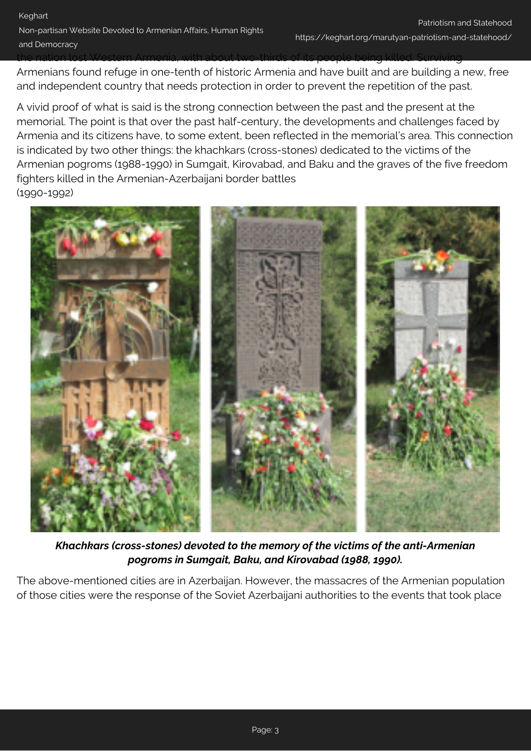the nation lost Western Armenia, with about two-thirds of its people being killed. Surviving

Armenians found refuge in one-tenth of historic Armenia and have built and are building a new, free and independent country that needs protection in order to prevent the repetition of the past.

A vivid proof of what is said is the strong connection between the past and the present at the memorial. The point is that over the past half-century, the developments and challenges faced by Armenia and its citizens have, to some extent, been reflected in the memorial's area. This connection is indicated by two other things: the khachkars (cross-stones) dedicated to the victims of the Armenian pogroms (1988-1990) in Sumgait, Kirovabad, and Baku and the graves of the five freedom fighters killed in the Armenian-Azerbaijani border battles (1990-1992)



*Khachkars (cross-stones) devoted to the memory of the victims of the anti-Armenian pogroms in Sumgait, Baku, and Kirovabad (1988, 1990).*

The above-mentioned cities are in Azerbaijan. However, the massacres of the Armenian population of those cities were the response of the Soviet Azerbaijani authorities to the events that took place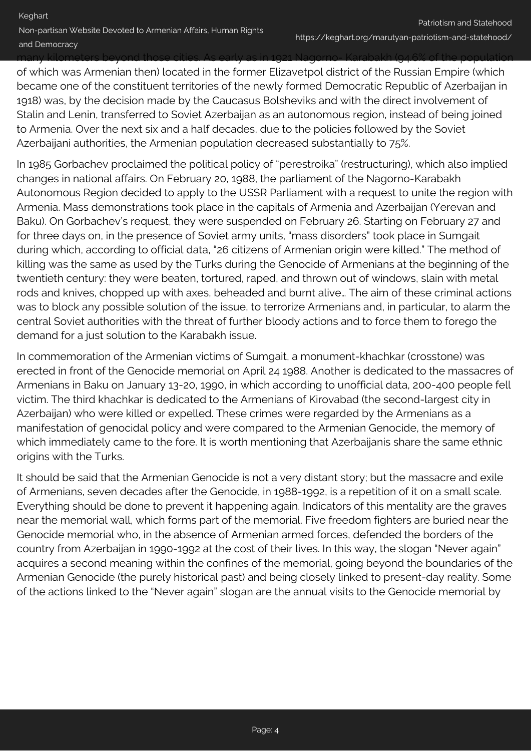many kilometers beyond those cities. As early as in 1921 Nagorno- Karabakh (94.6% of the population of which was Armenian then) located in the former Elizavetpol district of the Russian Empire (which became one of the constituent territories of the newly formed Democratic Republic of Azerbaijan in 1918) was, by the decision made by the Caucasus Bolsheviks and with the direct involvement of Stalin and Lenin, transferred to Soviet Azerbaijan as an autonomous region, instead of being joined to Armenia. Over the next six and a half decades, due to the policies followed by the Soviet Azerbaijani authorities, the Armenian population decreased substantially to 75%.

In 1985 Gorbachev proclaimed the political policy of "perestroika" (restructuring), which also implied changes in national affairs. On February 20, 1988, the parliament of the Nagorno-Karabakh Autonomous Region decided to apply to the USSR Parliament with a request to unite the region with Armenia. Mass demonstrations took place in the capitals of Armenia and Azerbaijan (Yerevan and Baku). On Gorbachev's request, they were suspended on February 26. Starting on February 27 and for three days on, in the presence of Soviet army units, "mass disorders" took place in Sumgait during which, according to official data, "26 citizens of Armenian origin were killed." The method of killing was the same as used by the Turks during the Genocide of Armenians at the beginning of the twentieth century: they were beaten, tortured, raped, and thrown out of windows, slain with metal rods and knives, chopped up with axes, beheaded and burnt alive… The aim of these criminal actions was to block any possible solution of the issue, to terrorize Armenians and, in particular, to alarm the central Soviet authorities with the threat of further bloody actions and to force them to forego the demand for a just solution to the Karabakh issue.

In commemoration of the Armenian victims of Sumgait, a monument-khachkar (crosstone) was erected in front of the Genocide memorial on April 24 1988. Another is dedicated to the massacres of Armenians in Baku on January 13-20, 1990, in which according to unofficial data, 200-400 people fell victim. The third khachkar is dedicated to the Armenians of Kirovabad (the second-largest city in Azerbaijan) who were killed or expelled. These crimes were regarded by the Armenians as a manifestation of genocidal policy and were compared to the Armenian Genocide, the memory of which immediately came to the fore. It is worth mentioning that Azerbaijanis share the same ethnic origins with the Turks.

It should be said that the Armenian Genocide is not a very distant story; but the massacre and exile of Armenians, seven decades after the Genocide, in 1988-1992, is a repetition of it on a small scale. Everything should be done to prevent it happening again. Indicators of this mentality are the graves near the memorial wall, which forms part of the memorial. Five freedom fighters are buried near the Genocide memorial who, in the absence of Armenian armed forces, defended the borders of the country from Azerbaijan in 1990-1992 at the cost of their lives. In this way, the slogan "Never again" acquires a second meaning within the confines of the memorial, going beyond the boundaries of the Armenian Genocide (the purely historical past) and being closely linked to present-day reality. Some of the actions linked to the "Never again" slogan are the annual visits to the Genocide memorial by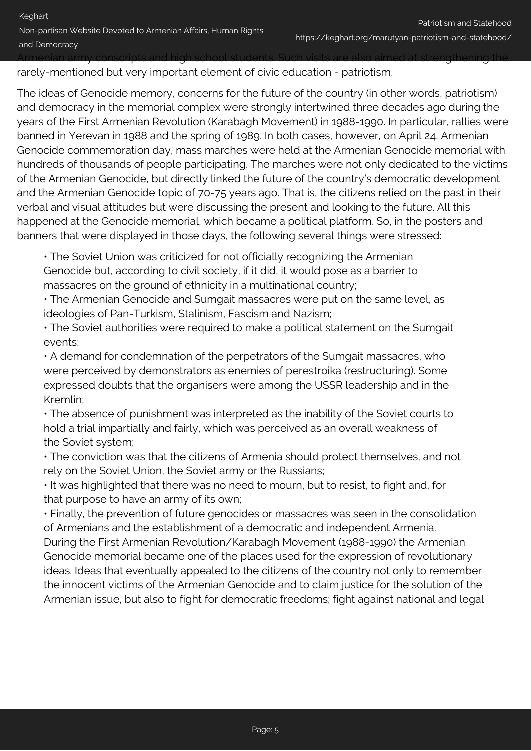rarely-mentioned but very important element of civic education - patriotism.

The ideas of Genocide memory, concerns for the future of the country (in other words, patriotism) and democracy in the memorial complex were strongly intertwined three decades ago during the years of the First Armenian Revolution (Karabagh Movement) in 1988-1990. In particular, rallies were banned in Yerevan in 1988 and the spring of 1989. In both cases, however, on April 24, Armenian Genocide commemoration day, mass marches were held at the Armenian Genocide memorial with hundreds of thousands of people participating. The marches were not only dedicated to the victims of the Armenian Genocide, but directly linked the future of the country's democratic development and the Armenian Genocide topic of 70-75 years ago. That is, the citizens relied on the past in their verbal and visual attitudes but were discussing the present and looking to the future. All this happened at the Genocide memorial, which became a political platform. So, in the posters and banners that were displayed in those days, the following several things were stressed:

• The Soviet Union was criticized for not officially recognizing the Armenian Genocide but, according to civil society, if it did, it would pose as a barrier to massacres on the ground of ethnicity in a multinational country;

• The Armenian Genocide and Sumgait massacres were put on the same level, as ideologies of Pan-Turkism, Stalinism, Fascism and Nazism;

• The Soviet authorities were required to make a political statement on the Sumgait events;

• A demand for condemnation of the perpetrators of the Sumgait massacres, who were perceived by demonstrators as enemies of perestroika (restructuring). Some expressed doubts that the organisers were among the USSR leadership and in the Kremlin;

• The absence of punishment was interpreted as the inability of the Soviet courts to hold a trial impartially and fairly, which was perceived as an overall weakness of the Soviet system;

• The conviction was that the citizens of Armenia should protect themselves, and not rely on the Soviet Union, the Soviet army or the Russians;

• It was highlighted that there was no need to mourn, but to resist, to fight and, for that purpose to have an army of its own;

• Finally, the prevention of future genocides or massacres was seen in the consolidation of Armenians and the establishment of a democratic and independent Armenia.

During the First Armenian Revolution/Karabagh Movement (1988-1990) the Armenian Genocide memorial became one of the places used for the expression of revolutionary ideas. Ideas that eventually appealed to the citizens of the country not only to remember the innocent victims of the Armenian Genocide and to claim justice for the solution of the Armenian issue, but also to fight for democratic freedoms; fight against national and legal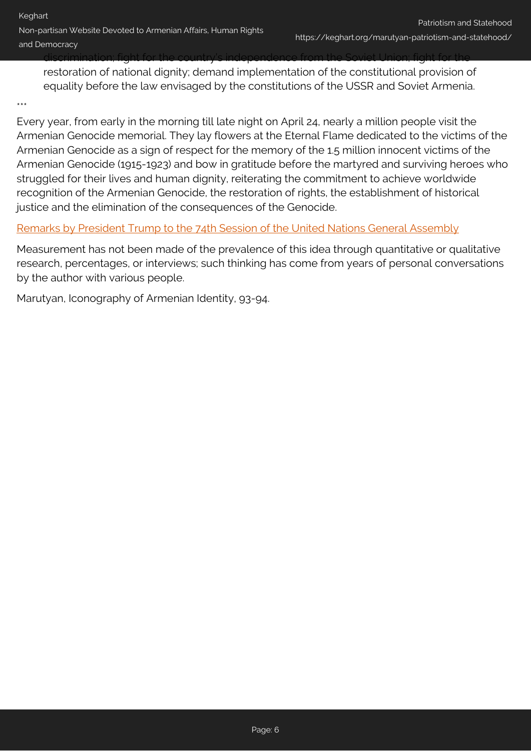Non-partisan Website Devoted to Armenian Affairs, Human Rights and Democracy

discrimination; fight for the country's independence from the Soviet Union; fight for the

restoration of national dignity; demand implementation of the constitutional provision of equality before the law envisaged by the constitutions of the USSR and Soviet Armenia.

### \*\*\*

Every year, from early in the morning till late night on April 24, nearly a million people visit the Armenian Genocide memorial. They lay flowers at the Eternal Flame dedicated to the victims of the Armenian Genocide as a sign of respect for the memory of the 1.5 million innocent victims of the Armenian Genocide (1915-1923) and bow in gratitude before the martyred and surviving heroes who struggled for their lives and human dignity, reiterating the commitment to achieve worldwide recognition of the Armenian Genocide, the restoration of rights, the establishment of historical justice and the elimination of the consequences of the Genocide.

### [Remarks by President Trump to the 74th Session of the United Nations General Assembly](https://www.npr.org/2019/09/24/762351729/president-trump-to-address-u-n-general-assembly)

Measurement has not been made of the prevalence of this idea through quantitative or qualitative research, percentages, or interviews; such thinking has come from years of personal conversations by the author with various people.

Marutyan, Iconography of Armenian Identity, 93-94.